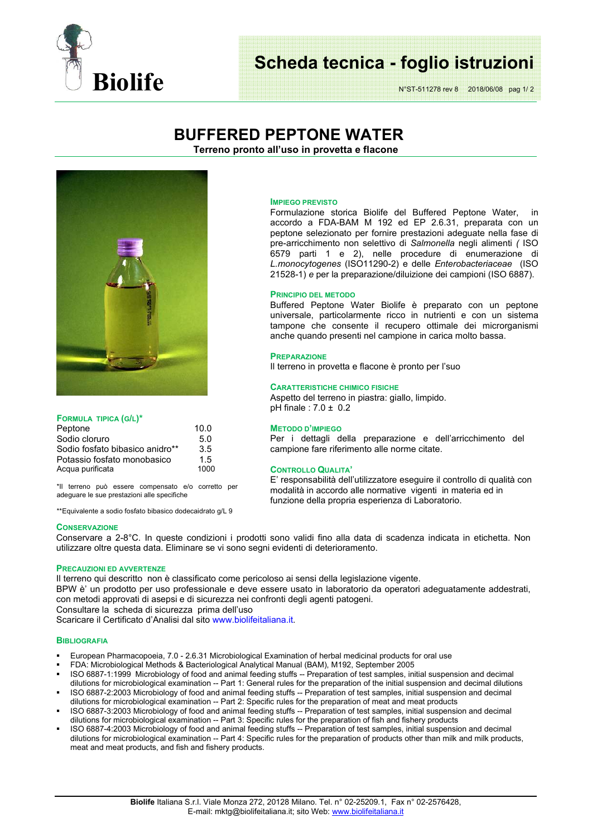

# **Scheda tecnica - foglio istruzioni**

N°ST-511278 rev 8 2018/06/08 pag 1/ 2

## **BUFFERED PEPTONE WATER**

**Terreno pronto all'uso in provetta e flacone** 



## **FORMULA TIPICA (G/L)\***

| Peptone                         | 10.0 |
|---------------------------------|------|
| Sodio cloruro                   | 5.0  |
| Sodio fosfato bibasico anidro** | 3.5  |
| Potassio fosfato monobasico     | 1.5  |
| Acqua purificata                | 1000 |

\*Il terreno può essere compensato e/o corretto per adeguare le sue prestazioni alle specifiche

\*\*Equivalente a sodio fosfato bibasico dodecaidrato g/L 9

## **CONSERVAZIONE**

## Conservare a 2-8°C. In queste condizioni i prodotti sono validi fino alla data di scadenza indicata in etichetta. Non utilizzare oltre questa data. Eliminare se vi sono segni evidenti di deterioramento.

#### **PRECAUZIONI ED AVVERTENZE**

Il terreno qui descritto non è classificato come pericoloso ai sensi della legislazione vigente.

BPW è' un prodotto per uso professionale e deve essere usato in laboratorio da operatori adeguatamente addestrati, con metodi approvati di asepsi e di sicurezza nei confronti degli agenti patogeni.

Consultare la scheda di sicurezza prima dell'uso

Scaricare il Certificato d'Analisi dal sito www.biolifeitaliana.it.

#### **BIBLIOGRAFIA**

- European Pharmacopoeia, 7.0 2.6.31 Microbiological Examination of herbal medicinal products for oral use
- FDA: Microbiological Methods & Bacteriological Analytical Manual (BAM), M192, September 2005
- ISO 6887-1:1999 Microbiology of food and animal feeding stuffs -- Preparation of test samples, initial suspension and decimal dilutions for microbiological examination -- Part 1: General rules for the preparation of the initial suspension and decimal dilutions
- ISO 6887-2:2003 Microbiology of food and animal feeding stuffs -- Preparation of test samples, initial suspension and decimal dilutions for microbiological examination -- Part 2: Specific rules for the preparation of meat and meat products
- ISO 6887-3:2003 Microbiology of food and animal feeding stuffs -- Preparation of test samples, initial suspension and decimal dilutions for microbiological examination -- Part 3: Specific rules for the preparation of fish and fishery products
- ISO 6887-4:2003 Microbiology of food and animal feeding stuffs -- Preparation of test samples, initial suspension and decimal dilutions for microbiological examination -- Part 4: Specific rules for the preparation of products other than milk and milk products, meat and meat products, and fish and fishery products.

#### **IMPIEGO PREVISTO**

Formulazione storica Biolife del Buffered Peptone Water, in accordo a FDA-BAM M 192 ed EP 2.6.31, preparata con un peptone selezionato per fornire prestazioni adeguate nella fase di pre-arricchimento non selettivo di *Salmonella* negli alimenti *(* ISO 6579 parti 1 e 2), nelle procedure di enumerazione di *L.monocytogenes* (ISO11290-2) e delle *Enterobacteriaceae* (ISO 21528-1) *e* per la preparazione/diluizione dei campioni (ISO 6887).

## **PRINCIPIO DEL METODO**

Buffered Peptone Water Biolife è preparato con un peptone universale, particolarmente ricco in nutrienti e con un sistema tampone che consente il recupero ottimale dei microrganismi anche quando presenti nel campione in carica molto bassa.

## **PREPARAZIONE**

Il terreno in provetta e flacone è pronto per l'suo

## **CARATTERISTICHE CHIMICO FISICHE**

Aspetto del terreno in piastra: giallo, limpido. pH finale : 7.0 ± 0.2

#### **METODO D'IMPIEGO**

Per i dettagli della preparazione e dell'arricchimento del campione fare riferimento alle norme citate.

## **CONTROLLO QUALITA'**

E' responsabilità dell'utilizzatore eseguire il controllo di qualità con modalità in accordo alle normative vigenti in materia ed in funzione della propria esperienza di Laboratorio.